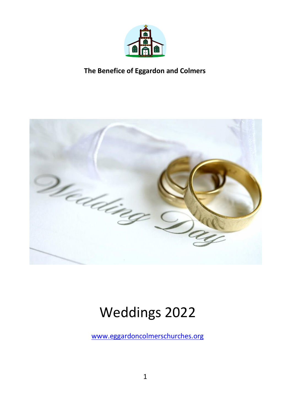



# Weddings 2022

[www.eggardoncolmerschurches.org](http://www.eggardoncolmerschurches.org/)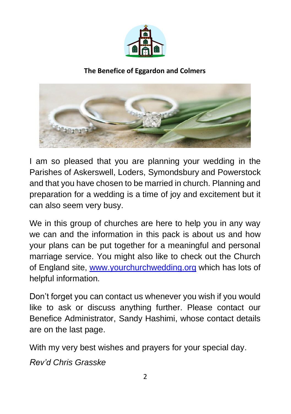



I am so pleased that you are planning your wedding in the Parishes of Askerswell, Loders, Symondsbury and Powerstock and that you have chosen to be married in church. Planning and preparation for a wedding is a time of joy and excitement but it can also seem very busy.

We in this group of churches are here to help you in any way we can and the information in this pack is about us and how your plans can be put together for a meaningful and personal marriage service. You might also like to check out the Church of England site, [www.yourchurchwedding.org](http://www.yourchurchwedding.org/) which has lots of helpful information.

Don't forget you can contact us whenever you wish if you would like to ask or discuss anything further. Please contact our Benefice Administrator, Sandy Hashimi, whose contact details are on the last page.

With my very best wishes and prayers for your special day.

*Rev'd Chris Grasske*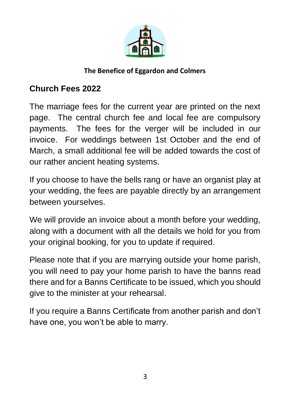

# **Church Fees 2022**

The marriage fees for the current year are printed on the next page. The central church fee and local fee are compulsory payments. The fees for the verger will be included in our invoice. For weddings between 1st October and the end of March, a small additional fee will be added towards the cost of our rather ancient heating systems.

If you choose to have the bells rang or have an organist play at your wedding, the fees are payable directly by an arrangement between yourselves.

We will provide an invoice about a month before your wedding, along with a document with all the details we hold for you from your original booking, for you to update if required.

Please note that if you are marrying outside your home parish, you will need to pay your home parish to have the banns read there and for a Banns Certificate to be issued, which you should give to the minister at your rehearsal.

If you require a Banns Certificate from another parish and don't have one, you won't be able to marry.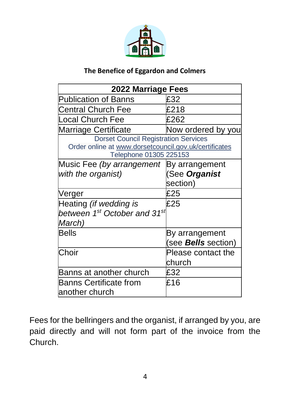

| 2022 Marriage Fees                                    |                            |  |
|-------------------------------------------------------|----------------------------|--|
| <b>Publication of Banns</b>                           | £32                        |  |
| <b>Central Church Fee</b>                             | £218                       |  |
| <b>Local Church Fee</b>                               | £262                       |  |
| <b>Marriage Certificate</b>                           | Now ordered by you         |  |
| <b>Dorset Council Registration Services</b>           |                            |  |
| Order online at www.dorsetcouncil.gov.uk/certificates |                            |  |
| Telephone 01305 225153                                |                            |  |
| Music Fee (by arrangement                             | By arrangement             |  |
| with the organist)                                    | (See Organist              |  |
|                                                       | section)                   |  |
| Verger                                                | £25                        |  |
| Heating (if wedding is                                | £25                        |  |
| between 1st October and 31st                          |                            |  |
| March)                                                |                            |  |
| <b>Bells</b>                                          | By arrangement             |  |
|                                                       | (see <b>Bells</b> section) |  |
| Choir                                                 | Please contact the         |  |
|                                                       | church                     |  |
| Banns at another church                               | £32                        |  |
| <b>Banns Certificate from</b>                         | £16                        |  |
| lanother church                                       |                            |  |

Fees for the bellringers and the organist, if arranged by you, are paid directly and will not form part of the invoice from the Church.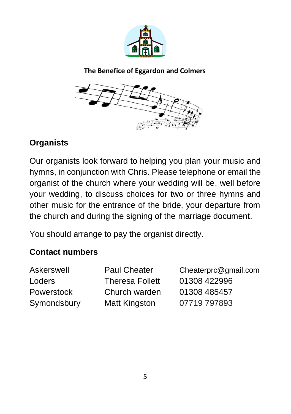



# **Organists**

Our organists look forward to helping you plan your music and hymns, in conjunction with Chris. Please telephone or email the organist of the church where your wedding will be, well before your wedding, to discuss choices for two or three hymns and other music for the entrance of the bride, your departure from the church and during the signing of the marriage document.

You should arrange to pay the organist directly.

# **Contact numbers**

| Askerswell  | <b>Paul Cheater</b>    | Cheaterprc@gmail.com |
|-------------|------------------------|----------------------|
| Loders      | <b>Theresa Follett</b> | 01308 422996         |
| Powerstock  | Church warden          | 01308 485457         |
| Symondsbury | <b>Matt Kingston</b>   | 07719 797893         |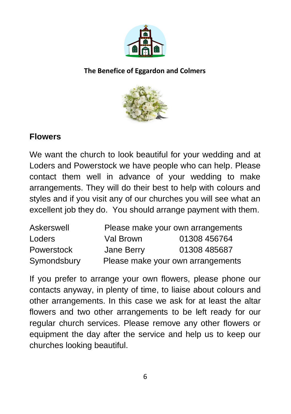



## **Flowers**

We want the church to look beautiful for your wedding and at Loders and Powerstock we have people who can help. Please contact them well in advance of your wedding to make arrangements. They will do their best to help with colours and styles and if you visit any of our churches you will see what an excellent job they do. You should arrange payment with them.

| Askerswell  |            | Please make your own arrangements |
|-------------|------------|-----------------------------------|
| Loders      | Val Brown  | 01308 456764                      |
| Powerstock  | Jane Berry | 01308 485687                      |
| Symondsbury |            | Please make your own arrangements |

If you prefer to arrange your own flowers, please phone our contacts anyway, in plenty of time, to liaise about colours and other arrangements. In this case we ask for at least the altar flowers and two other arrangements to be left ready for our regular church services. Please remove any other flowers or equipment the day after the service and help us to keep our churches looking beautiful.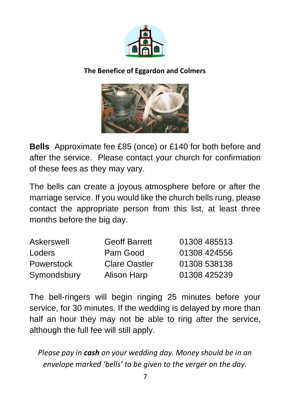



**Bells** Approximate fee £85 (once) or £140 for both before and after the service. Please contact your church for confirmation of these fees as they may vary.

The bells can create a joyous atmosphere before or after the marriage service. If you would like the church bells rung, please contact the appropriate person from this list, at least three months before the big day.

| Askerswell        | <b>Geoff Barrett</b> | 01308 485513 |
|-------------------|----------------------|--------------|
| Loders            | Pam Good             | 01308 424556 |
| <b>Powerstock</b> | <b>Clare Oastler</b> | 01308 538138 |
| Symondsbury       | <b>Alison Harp</b>   | 01308 425239 |

The bell-ringers will begin ringing 25 minutes before your service, for 30 minutes. If the wedding is delayed by more than half an hour they may not be able to ring after the service, although the full fee will still apply.

*Please pay in cash on your wedding day. Money should be in an envelope marked 'bells' to be given to the verger on the day.*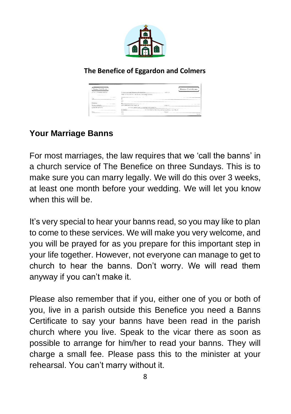

| <b>Burma Certificate</b>         |                                                    |                                                          | <b>Banns Certificate</b> |
|----------------------------------|----------------------------------------------------|----------------------------------------------------------|--------------------------|
| <b>Burns of Massisse Systems</b> | fin de résuming Masser at Mostardt at              | ---                                                      |                          |
|                                  | THE INTO CONTROL BE BEING A MONAGEMENT             |                                                          |                          |
| ___                              |                                                    |                                                          |                          |
|                                  |                                                    |                                                          |                          |
|                                  | s                                                  |                                                          |                          |
| Published                        |                                                    |                                                          |                          |
| Bushiel own ex-                  |                                                    | <b>ENTRANCIA</b>                                         |                          |
| Constitute aircrafts             | as in the public standard wording of the person of |                                                          |                          |
|                                  | In Santas                                          | the two friedom following, and so haredoms, was allocal- |                          |
|                                  | Date of                                            | SL way                                                   |                          |
|                                  | or a                                               |                                                          |                          |

# **Your Marriage Banns**

For most marriages, the law requires that we 'call the banns' in a church service of The Benefice on three Sundays. This is to make sure you can marry legally. We will do this over 3 weeks, at least one month before your wedding. We will let you know when this will be.

It's very special to hear your banns read, so you may like to plan to come to these services. We will make you very welcome, and you will be prayed for as you prepare for this important step in your life together. However, not everyone can manage to get to church to hear the banns. Don't worry. We will read them anyway if you can't make it.

Please also remember that if you, either one of you or both of you, live in a parish outside this Benefice you need a Banns Certificate to say your banns have been read in the parish church where you live. Speak to the vicar there as soon as possible to arrange for him/her to read your banns. They will charge a small fee. Please pass this to the minister at your rehearsal. You can't marry without it.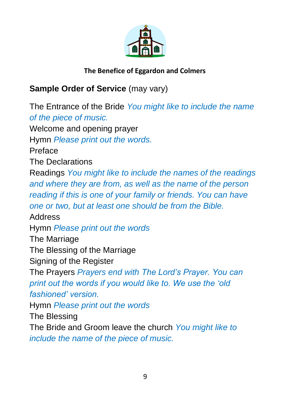

# **Sample Order of Service** (may vary)

The Entrance of the Bride *You might like to include the name of the piece of music.* Welcome and opening prayer Hymn *Please print out the words.* Preface The Declarations Readings *You might like to include the names of the readings and where they are from, as well as the name of the person reading if this is one of your family or friends. You can have one or two, but at least one should be from the Bible.* Address Hymn *Please print out the words* The Marriage The Blessing of the Marriage Signing of the Register The Prayers *Prayers end with The Lord's Prayer. You can print out the words if you would like to. We use the 'old fashioned' version.* Hymn *Please print out the words* The Blessing The Bride and Groom leave the church *You might like to include the name of the piece of music.*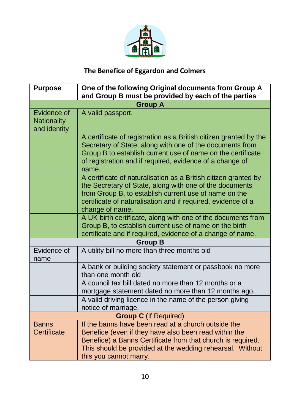

| <b>Purpose</b>                                    | One of the following Original documents from Group A<br>and Group B must be provided by each of the parties                                                                                                                                                            |
|---------------------------------------------------|------------------------------------------------------------------------------------------------------------------------------------------------------------------------------------------------------------------------------------------------------------------------|
|                                                   | <b>Group A</b>                                                                                                                                                                                                                                                         |
| Evidence of<br><b>Nationality</b><br>and identity | A valid passport.                                                                                                                                                                                                                                                      |
|                                                   | A certificate of registration as a British citizen granted by the<br>Secretary of State, along with one of the documents from<br>Group B to establish current use of name on the certificate<br>of registration and if required, evidence of a change of<br>name.      |
|                                                   | A certificate of naturalisation as a British citizen granted by<br>the Secretary of State, along with one of the documents<br>from Group B, to establish current use of name on the<br>certificate of naturalisation and if required, evidence of a<br>change of name. |
|                                                   | A UK birth certificate, along with one of the documents from<br>Group B, to establish current use of name on the birth<br>certificate and if required, evidence of a change of name.                                                                                   |
|                                                   | <b>Group B</b>                                                                                                                                                                                                                                                         |
| Evidence of<br>name                               | A utility bill no more than three months old                                                                                                                                                                                                                           |
|                                                   | A bank or building society statement or passbook no more<br>than one month old                                                                                                                                                                                         |
|                                                   | A council tax bill dated no more than 12 months or a<br>mortgage statement dated no more than 12 months ago.                                                                                                                                                           |
|                                                   | A valid driving licence in the name of the person giving<br>notice of marriage.                                                                                                                                                                                        |
| <b>Group C</b> (If Required)                      |                                                                                                                                                                                                                                                                        |
| <b>Banns</b><br>Certificate                       | If the banns have been read at a church outside the<br>Benefice (even if they have also been read within the<br>Benefice) a Banns Certificate from that church is required.<br>This should be provided at the wedding rehearsal. Without<br>this you cannot marry.     |